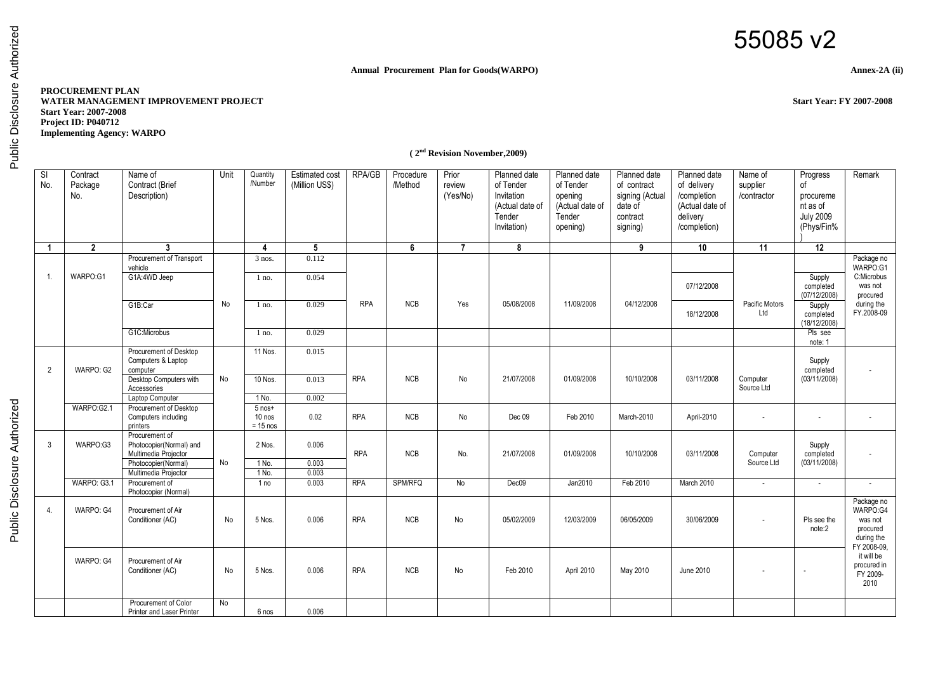## 55085 v2

## **Annual Procurement Plan for Goods(WARPO) Annex-2A (ii)**

## **PROCUREMENT PLAN WATER MANAGEMENT IMPROVEMENT PROJECT Start Year: FY 2007-2008 Start Year: 2007-2008 Project ID: P040712 Implementing Agency: WARPO**

 **( 2nd Revision November,2009)**

| SI<br>No.      | Contract<br>Package<br>No. | Name of<br>Contract (Brief<br>Description)                                                                       | Unit      | Quantity<br>/Number                           | <b>Estimated cost</b><br>(Million US\$) | <b>RPA/GB</b> | Procedure<br>/Method | Prior<br>review<br>(Yes/No) | Planned date<br>of Tender<br>Invitation<br>(Actual date of<br>Tender<br>Invitation) | Planned date<br>of Tender<br>opening<br>(Actual date of<br>Tender<br>opening) | Planned date<br>of contract<br>signing (Actual<br>date of<br>contract<br>signing) | Planned date<br>of delivery<br>/completion<br>(Actual date of<br>delivery<br>/completion) | Name of<br>supplier<br>/contractor | Progress<br>of<br>procureme<br>nt as of<br><b>July 2009</b><br>(Phys/Fin% | Remark                                                                     |
|----------------|----------------------------|------------------------------------------------------------------------------------------------------------------|-----------|-----------------------------------------------|-----------------------------------------|---------------|----------------------|-----------------------------|-------------------------------------------------------------------------------------|-------------------------------------------------------------------------------|-----------------------------------------------------------------------------------|-------------------------------------------------------------------------------------------|------------------------------------|---------------------------------------------------------------------------|----------------------------------------------------------------------------|
| $\overline{1}$ | $\overline{2}$             | 3                                                                                                                |           | $\overline{4}$                                | 5                                       |               | 6                    | $\overline{7}$              | 8                                                                                   |                                                                               | 9                                                                                 | 10                                                                                        | $\overline{11}$                    | $\overline{12}$                                                           |                                                                            |
| $\mathbf{1}$   | WARPO:G1                   | Procurement of Transport<br>vehicle<br>G1A:4WD Jeep                                                              |           | $3$ nos.<br>$1$ no.                           | 0.112<br>0.054                          |               |                      |                             |                                                                                     |                                                                               |                                                                                   | 07/12/2008                                                                                |                                    | Supply<br>completed<br>(07/12/2008)                                       | Package no<br>WARPO:G1<br>C:Microbus<br>was not<br>procured                |
|                |                            | G1B:Car<br>G1C:Microbus                                                                                          | No        | $1$ no.                                       | 0.029<br>0.029                          | <b>RPA</b>    | <b>NCB</b>           | Yes                         | 05/08/2008                                                                          | 11/09/2008                                                                    | 04/12/2008                                                                        | 18/12/2008                                                                                | Pacific Motors<br>Ltd              | Supply<br>completed<br>(18/12/2008)                                       | during the<br>FY.2008-09                                                   |
|                |                            |                                                                                                                  |           | $1$ no.                                       |                                         |               |                      |                             |                                                                                     |                                                                               |                                                                                   |                                                                                           |                                    | Pls see<br>note: 1                                                        |                                                                            |
| $\overline{2}$ | WARPO: G2                  | Procurement of Desktop<br>Computers & Laptop<br>computer<br>Desktop Computers with<br>Accessories                | No        | 11 Nos.<br>10 Nos.                            | 0.015<br>0.013                          | <b>RPA</b>    | <b>NCB</b>           | No                          | 21/07/2008                                                                          | 01/09/2008                                                                    | 10/10/2008                                                                        | 03/11/2008                                                                                | Computer<br>Source Ltd             | Supply<br>completed<br>(03/11/2008)                                       |                                                                            |
|                | WARPO:G2.1                 | Laptop Computer<br>Procurement of Desktop<br>Computers including<br>printers                                     |           | $1$ No.<br>$5$ nos+<br>$10$ nos<br>$= 15$ nos | 0.002<br>0.02                           | <b>RPA</b>    | <b>NCB</b>           | No                          | Dec 09                                                                              | Feb 2010                                                                      | March-2010                                                                        | April-2010                                                                                |                                    | $\overline{\phantom{a}}$                                                  |                                                                            |
| 3              | WARPO:G3                   | Procurement of<br>Photocopier(Normal) and<br>Multimedia Projector<br>Photocopier(Normal)<br>Multimedia Projector | <b>No</b> | 2 Nos.<br>$1$ No.<br>1 No.                    | 0.006<br>0.003<br>0.003                 | <b>RPA</b>    | <b>NCB</b>           | No.                         | 21/07/2008                                                                          | 01/09/2008                                                                    | 10/10/2008                                                                        | 03/11/2008                                                                                | Computer<br>Source Ltd             | Supply<br>completed<br>(03/11/2008)                                       |                                                                            |
|                | WARPO: G3.1                | Procurement of<br>Photocopier (Normal)                                                                           |           | 1 no                                          | 0.003                                   | <b>RPA</b>    | SPM/RFQ              | No                          | Dec09                                                                               | Jan2010                                                                       | Feb 2010                                                                          | March 2010                                                                                | $\sim$                             | $\sim$                                                                    |                                                                            |
| $\overline{4}$ | WARPO: G4                  | Procurement of Air<br>Conditioner (AC)                                                                           | No        | 5 Nos.                                        | 0.006                                   | <b>RPA</b>    | <b>NCB</b>           | No                          | 05/02/2009                                                                          | 12/03/2009                                                                    | 06/05/2009                                                                        | 30/06/2009                                                                                |                                    | Pls see the<br>note:2                                                     | Package no<br>WARPO:G4<br>was not<br>procured<br>during the<br>FY 2008-09. |
|                | WARPO: G4                  | Procurement of Air<br>Conditioner (AC)                                                                           | No        | 5 Nos.                                        | 0.006                                   | <b>RPA</b>    | <b>NCB</b>           | No                          | Feb 2010                                                                            | April 2010                                                                    | May 2010                                                                          | June 2010                                                                                 |                                    | $\overline{\phantom{a}}$                                                  | it will be<br>procured in<br>FY 2009-<br>2010                              |
|                |                            | Procurement of Color<br>Printer and Laser Printer                                                                | No        | 6 nos                                         | 0.006                                   |               |                      |                             |                                                                                     |                                                                               |                                                                                   |                                                                                           |                                    |                                                                           |                                                                            |

Public Disclosure Authorized Public Disclosure Authorized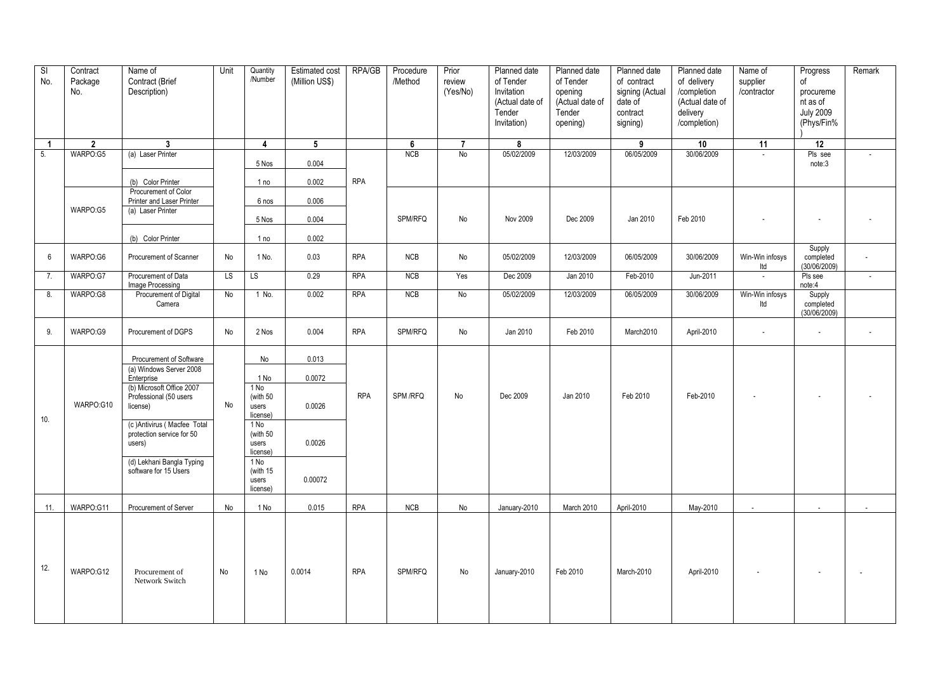| SI<br>No.      | Contract<br>Package<br>No. | Name of<br>Contract (Brief<br>Description)                         | Unit | Quantity<br>/Number                   | Estimated cost<br>(Million US\$) | RPA/GB     | Procedure<br>/Method | Prior<br>review<br>(Yes/No) | Planned date<br>of Tender<br>Invitation<br>(Actual date of<br>Tender<br>Invitation) | Planned date<br>of Tender<br>opening<br>(Actual date of<br>Tender<br>opening) | Planned date<br>of contract<br>signing (Actual<br>date of<br>contract<br>signing) | Planned date<br>of delivery<br>/completion<br>(Actual date of<br>delivery<br>/completion) | Name of<br>supplier<br>/contractor | Progress<br>of<br>procureme<br>nt as of<br><b>July 2009</b><br>(Phys/Fin% | Remark                   |
|----------------|----------------------------|--------------------------------------------------------------------|------|---------------------------------------|----------------------------------|------------|----------------------|-----------------------------|-------------------------------------------------------------------------------------|-------------------------------------------------------------------------------|-----------------------------------------------------------------------------------|-------------------------------------------------------------------------------------------|------------------------------------|---------------------------------------------------------------------------|--------------------------|
| $\overline{1}$ | $\mathbf{2}$               | $\mathbf{3}$                                                       |      | 4                                     | 5                                |            | 6                    | $\overline{7}$              | 8                                                                                   |                                                                               | 9                                                                                 | 10                                                                                        | 11                                 | 12                                                                        |                          |
| 5.             | WARPO:G5                   | (a) Laser Printer<br>(b) Color Printer                             |      | 5 Nos<br>1 no                         | 0.004<br>0.002                   | <b>RPA</b> | <b>NCB</b>           | No                          | 05/02/2009                                                                          | 12/03/2009                                                                    | 06/05/2009                                                                        | 30/06/2009                                                                                | $\overline{\phantom{a}}$           | Pls see<br>note:3                                                         | $\overline{\phantom{a}}$ |
|                |                            | Procurement of Color<br>Printer and Laser Printer                  |      | 6 nos                                 | 0.006                            |            |                      |                             |                                                                                     |                                                                               |                                                                                   |                                                                                           |                                    |                                                                           |                          |
|                | WARPO:G5                   | (a) Laser Printer                                                  |      | 5 Nos                                 | 0.004                            |            | SPM/RFQ              | No                          | Nov 2009                                                                            | Dec 2009                                                                      | Jan 2010                                                                          | Feb 2010                                                                                  |                                    |                                                                           |                          |
|                |                            | (b) Color Printer                                                  |      | 1 no                                  | 0.002                            |            |                      |                             |                                                                                     |                                                                               |                                                                                   |                                                                                           |                                    | Supply                                                                    |                          |
| 6              | WARPO:G6                   | Procurement of Scanner                                             | No   | 1 No.                                 | 0.03                             | <b>RPA</b> | NCB                  | No                          | 05/02/2009                                                                          | 12/03/2009                                                                    | 06/05/2009                                                                        | 30/06/2009                                                                                | Win-Win infosys<br>Itd             | completed<br>(30/06/2009)                                                 | $\overline{\phantom{a}}$ |
| 7.             | WARPO:G7                   | Procurement of Data<br>Image Processing                            | LS.  | LS                                    | 0.29                             | <b>RPA</b> | NCB                  | Yes                         | Dec 2009                                                                            | Jan 2010                                                                      | Feb-2010                                                                          | Jun-2011                                                                                  | $\sim$                             | Pls see<br>note:4                                                         | $\overline{\phantom{a}}$ |
| 8.             | WARPO:G8                   | Procurement of Digital<br>Camera                                   | No   | 1 No.                                 | 0.002                            | <b>RPA</b> | <b>NCB</b>           | No                          | 05/02/2009                                                                          | 12/03/2009                                                                    | 06/05/2009                                                                        | 30/06/2009                                                                                | Win-Win infosys<br>Itd             | Supply<br>completed<br>(30/06/2009)                                       |                          |
| 9.             | WARPO:G9                   | Procurement of DGPS                                                | No   | 2 Nos                                 | 0.004                            | <b>RPA</b> | SPM/RFQ              | No                          | Jan 2010                                                                            | Feb 2010                                                                      | March2010                                                                         | April-2010                                                                                | $\overline{\phantom{a}}$           | $\sim$                                                                    | $\overline{\phantom{a}}$ |
|                |                            | Procurement of Software<br>(a) Windows Server 2008<br>Enterprise   |      | No<br>1 No                            | 0.013<br>0.0072                  |            |                      |                             |                                                                                     |                                                                               |                                                                                   |                                                                                           |                                    |                                                                           |                          |
| 10.            | WARPO:G10                  | (b) Microsoft Office 2007<br>Professional (50 users<br>license)    | No   | 1 No<br>(with 50<br>users<br>license) | 0.0026                           | <b>RPA</b> | SPM /RFQ             | No                          | Dec 2009                                                                            | Jan 2010                                                                      | Feb 2010                                                                          | Feb-2010                                                                                  |                                    |                                                                           |                          |
|                |                            | (c) Antivirus (Macfee Total<br>protection service for 50<br>users) |      | 1 No<br>(with 50<br>users<br>license) | 0.0026                           |            |                      |                             |                                                                                     |                                                                               |                                                                                   |                                                                                           |                                    |                                                                           |                          |
|                |                            | (d) Lekhani Bangla Typing<br>software for 15 Users                 |      | 1 No<br>(with 15<br>users<br>license) | 0.00072                          |            |                      |                             |                                                                                     |                                                                               |                                                                                   |                                                                                           |                                    |                                                                           |                          |
| 11.            | WARPO:G11                  | Procurement of Server                                              | No   | 1 No                                  | 0.015                            | <b>RPA</b> | NCB                  | No                          | January-2010                                                                        | March 2010                                                                    | April-2010                                                                        | May-2010                                                                                  |                                    |                                                                           |                          |
| 12.            | WARPO:G12                  | Procurement of<br>Network Switch                                   | No   | 1 No                                  | 0.0014                           | <b>RPA</b> | SPM/RFQ              | No                          | January-2010                                                                        | Feb 2010                                                                      | March-2010                                                                        | April-2010                                                                                |                                    |                                                                           |                          |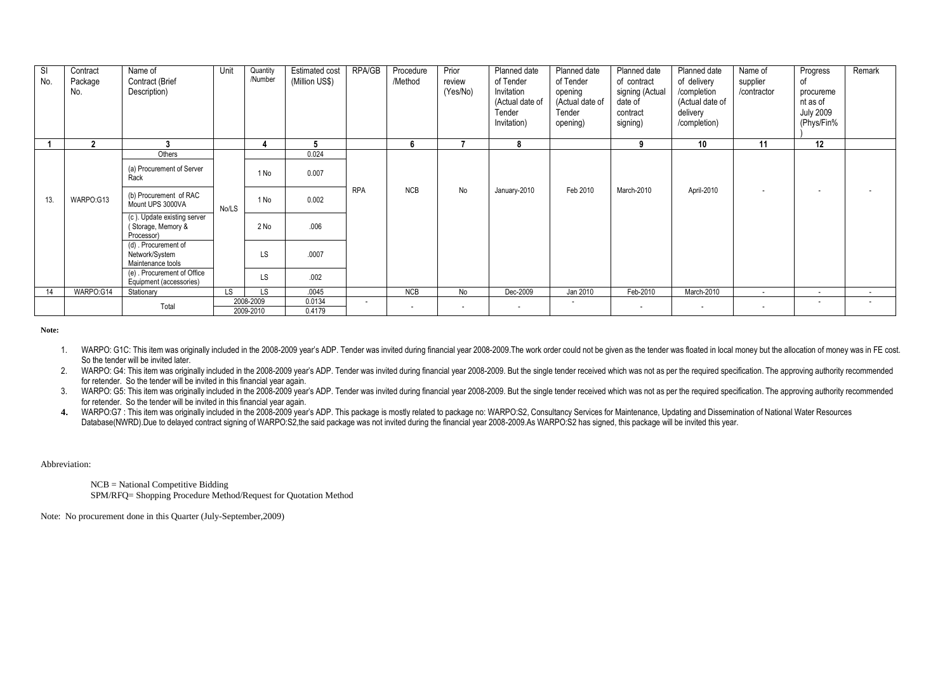| SI<br>No. | Contract<br>Package<br>No. | Name of<br>Contract (Brief<br>Description)                      | Unit  | Quantity<br>/Number | <b>Estimated cost</b><br>(Million US\$) | <b>RPA/GB</b>            | Procedure<br>/Method | Prior<br>review<br>(Yes/No) | Planned date<br>of Tender<br>Invitation<br>(Actual date of<br>Tender<br>Invitation) | Planned date<br>of Tender<br>opening<br>(Actual date of<br>Tender<br>opening) | Planned date<br>of contract<br>signing (Actual<br>date of<br>contract<br>signing) | Planned date<br>of delivery<br>/completion<br>(Actual date of<br>delivery<br>/completion) | Name of<br>supplier<br>/contractor | Progress<br>οf<br>procureme<br>nt as of<br><b>July 2009</b><br>(Phys/Fin% | Remark                   |
|-----------|----------------------------|-----------------------------------------------------------------|-------|---------------------|-----------------------------------------|--------------------------|----------------------|-----------------------------|-------------------------------------------------------------------------------------|-------------------------------------------------------------------------------|-----------------------------------------------------------------------------------|-------------------------------------------------------------------------------------------|------------------------------------|---------------------------------------------------------------------------|--------------------------|
|           | $\mathbf{2}$               |                                                                 |       |                     | 5                                       |                          | 6                    |                             | 8                                                                                   |                                                                               | 9                                                                                 | 10 <sup>°</sup>                                                                           | 11                                 | 12                                                                        |                          |
|           |                            | Others                                                          |       |                     | 0.024                                   |                          |                      |                             |                                                                                     |                                                                               |                                                                                   |                                                                                           |                                    |                                                                           |                          |
|           |                            | (a) Procurement of Server<br>Rack                               |       | 1 No                | 0.007                                   |                          |                      |                             |                                                                                     |                                                                               |                                                                                   |                                                                                           |                                    |                                                                           |                          |
| 13.       | WARPO:G13                  | (b) Procurement of RAC<br>Mount UPS 3000VA                      | No/LS | 1 No                | 0.002                                   | <b>RPA</b>               | <b>NCB</b>           | No                          | January-2010                                                                        | Feb 2010                                                                      | March-2010                                                                        | April-2010                                                                                |                                    | . .                                                                       |                          |
|           |                            | (c). Update existing server<br>(Storage, Memory &<br>Processor) |       | 2 No                | .006                                    |                          |                      |                             |                                                                                     |                                                                               |                                                                                   |                                                                                           |                                    |                                                                           |                          |
|           |                            | (d) . Procurement of<br>Network/System<br>Maintenance tools     |       | LS                  | .0007                                   |                          |                      |                             |                                                                                     |                                                                               |                                                                                   |                                                                                           |                                    |                                                                           |                          |
|           |                            | (e). Procurement of Office<br>Equipment (accessories)           |       | LS                  | .002                                    |                          |                      |                             |                                                                                     |                                                                               |                                                                                   |                                                                                           |                                    |                                                                           |                          |
| 14        | WARPO:G14                  | Stationary                                                      | LS.   | LS.                 | .0045                                   |                          | <b>NCB</b>           | No                          | Dec-2009                                                                            | Jan 2010                                                                      | Feb-2010                                                                          | March-2010                                                                                | $\sim$                             | $\overline{\phantom{a}}$                                                  | $\sim$                   |
|           |                            | Total                                                           |       | 2008-2009           | 0.0134                                  | $\overline{\phantom{a}}$ |                      |                             | $\overline{\phantom{a}}$                                                            |                                                                               |                                                                                   |                                                                                           | $\overline{\phantom{a}}$           |                                                                           | $\overline{\phantom{a}}$ |
|           |                            |                                                                 |       | 2009-2010           | 0.4179                                  |                          |                      |                             |                                                                                     |                                                                               |                                                                                   |                                                                                           |                                    |                                                                           |                          |

**Note:**

1. WARPO: G1C: This item was originally included in the 2008-2009 year's ADP. Tender was invited during financial year 2008-2009. The work order could not be given as the tender was floated in local money but the allocatio So the tender will be invited later.

2. WARPO: G4: This item was originally included in the 2008-2009 year's ADP. Tender was invited during financial year 2008-2009. But the single tender received which was not as per the required specification. The approving for retender. So the tender will be invited in this financial year again.

3. WARPO: G5: This item was originally included in the 2008-2009 year's ADP. Tender was invited during financial year 2008-2009. But the single tender received which was not as per the required specification. The approving for retender. So the tender will be invited in this financial year again.

4. WARPO:G7: This item was originally included in the 2008-2009 year's ADP. This package is mostly related to package no: WARPO:S2, Consultancy Services for Maintenance, Updating and Dissemination of National Water Resourc Database(NWRD).Due to delayed contract signing of WARPO:S2 the said package was not invited during the financial year 2008-2009.As WARPO:S2 has signed, this package will be invited this year.

Abbreviation:

 NCB = National Competitive Bidding SPM/RFQ= Shopping Procedure Method/Request for Quotation Method

Note: No procurement done in this Quarter (July-September,2009)